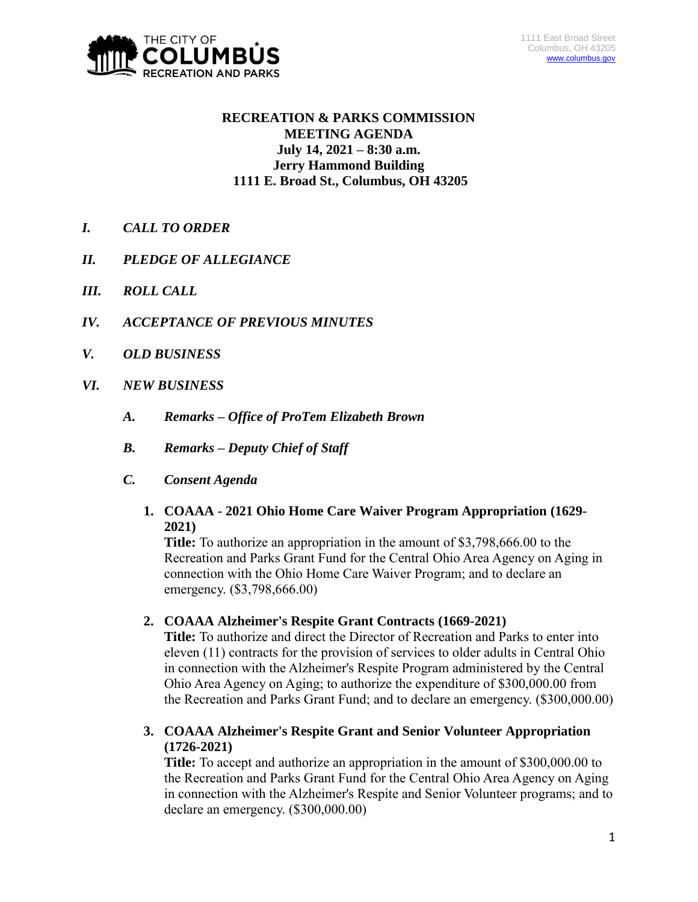

# **RECREATION & PARKS COMMISSION MEETING AGENDA July 14, 2021 – 8:30 a.m. Jerry Hammond Building 1111 E. Broad St., Columbus, OH 43205**

- *I. CALL TO ORDER*
- *II. PLEDGE OF ALLEGIANCE*
- *III. ROLL CALL*
- *IV. ACCEPTANCE OF PREVIOUS MINUTES*
- *V. OLD BUSINESS*
- *VI. NEW BUSINESS*
	- *A. Remarks – Office of ProTem Elizabeth Brown*
	- *B. Remarks – Deputy Chief of Staff*
	- *C. Consent Agenda*
		- **1. COAAA - 2021 Ohio Home Care Waiver Program Appropriation (1629- 2021)**

**Title:** To authorize an appropriation in the amount of \$3,798,666.00 to the Recreation and Parks Grant Fund for the Central Ohio Area Agency on Aging in connection with the Ohio Home Care Waiver Program; and to declare an emergency. (\$3,798,666.00)

**2. COAAA Alzheimer's Respite Grant Contracts (1669-2021)**

**Title:** To authorize and direct the Director of Recreation and Parks to enter into eleven (11) contracts for the provision of services to older adults in Central Ohio in connection with the Alzheimer's Respite Program administered by the Central Ohio Area Agency on Aging; to authorize the expenditure of \$300,000.00 from the Recreation and Parks Grant Fund; and to declare an emergency. (\$300,000.00)

**3. COAAA Alzheimer's Respite Grant and Senior Volunteer Appropriation (1726-2021)**

**Title:** To accept and authorize an appropriation in the amount of \$300,000.00 to the Recreation and Parks Grant Fund for the Central Ohio Area Agency on Aging in connection with the Alzheimer's Respite and Senior Volunteer programs; and to declare an emergency. (\$300,000.00)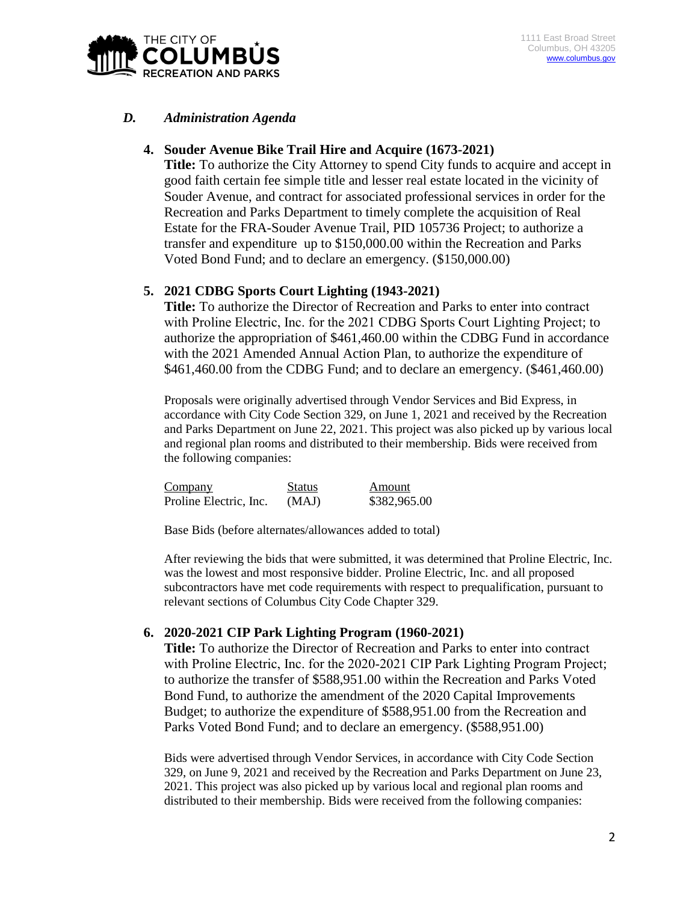

# *D. Administration Agenda*

# **4. Souder Avenue Bike Trail Hire and Acquire (1673-2021)**

**Title:** To authorize the City Attorney to spend City funds to acquire and accept in good faith certain fee simple title and lesser real estate located in the vicinity of Souder Avenue, and contract for associated professional services in order for the Recreation and Parks Department to timely complete the acquisition of Real Estate for the FRA-Souder Avenue Trail, PID 105736 Project; to authorize a transfer and expenditure up to \$150,000.00 within the Recreation and Parks Voted Bond Fund; and to declare an emergency. (\$150,000.00)

### **5. 2021 CDBG Sports Court Lighting (1943-2021)**

**Title:** To authorize the Director of Recreation and Parks to enter into contract with Proline Electric, Inc. for the 2021 CDBG Sports Court Lighting Project; to authorize the appropriation of \$461,460.00 within the CDBG Fund in accordance with the 2021 Amended Annual Action Plan, to authorize the expenditure of \$461,460.00 from the CDBG Fund; and to declare an emergency. (\$461,460.00)

Proposals were originally advertised through Vendor Services and Bid Express, in accordance with City Code Section 329, on June 1, 2021 and received by the Recreation and Parks Department on June 22, 2021. This project was also picked up by various local and regional plan rooms and distributed to their membership. Bids were received from the following companies:

| Company                | Status | Amount       |
|------------------------|--------|--------------|
| Proline Electric, Inc. | (MAJ)  | \$382,965.00 |

Base Bids (before alternates/allowances added to total)

After reviewing the bids that were submitted, it was determined that Proline Electric, Inc. was the lowest and most responsive bidder. Proline Electric, Inc. and all proposed subcontractors have met code requirements with respect to prequalification, pursuant to relevant sections of Columbus City Code Chapter 329.

# **6. 2020-2021 CIP Park Lighting Program (1960-2021)**

**Title:** To authorize the Director of Recreation and Parks to enter into contract with Proline Electric, Inc. for the 2020-2021 CIP Park Lighting Program Project; to authorize the transfer of \$588,951.00 within the Recreation and Parks Voted Bond Fund, to authorize the amendment of the 2020 Capital Improvements Budget; to authorize the expenditure of \$588,951.00 from the Recreation and Parks Voted Bond Fund; and to declare an emergency. (\$588,951.00)

Bids were advertised through Vendor Services, in accordance with City Code Section 329, on June 9, 2021 and received by the Recreation and Parks Department on June 23, 2021. This project was also picked up by various local and regional plan rooms and distributed to their membership. Bids were received from the following companies: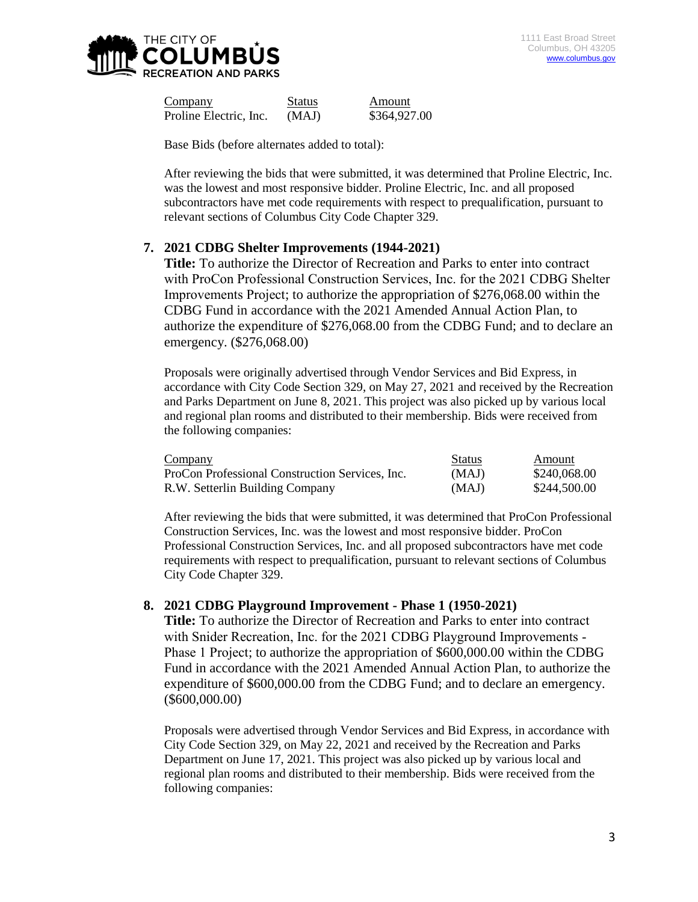

Company Status Amount Proline Electric, Inc. (MAJ)  $$364,927.00$ 

Base Bids (before alternates added to total):

After reviewing the bids that were submitted, it was determined that Proline Electric, Inc. was the lowest and most responsive bidder. Proline Electric, Inc. and all proposed subcontractors have met code requirements with respect to prequalification, pursuant to relevant sections of Columbus City Code Chapter 329.

# **7. 2021 CDBG Shelter Improvements (1944-2021)**

**Title:** To authorize the Director of Recreation and Parks to enter into contract with ProCon Professional Construction Services, Inc. for the 2021 CDBG Shelter Improvements Project; to authorize the appropriation of \$276,068.00 within the CDBG Fund in accordance with the 2021 Amended Annual Action Plan, to authorize the expenditure of \$276,068.00 from the CDBG Fund; and to declare an emergency. (\$276,068.00)

Proposals were originally advertised through Vendor Services and Bid Express, in accordance with City Code Section 329, on May 27, 2021 and received by the Recreation and Parks Department on June 8, 2021. This project was also picked up by various local and regional plan rooms and distributed to their membership. Bids were received from the following companies:

| Company                                         | <b>Status</b> | Amount       |
|-------------------------------------------------|---------------|--------------|
| ProCon Professional Construction Services, Inc. | (MAJ)         | \$240,068.00 |
| R.W. Setterlin Building Company                 | (MAJ)         | \$244,500.00 |

After reviewing the bids that were submitted, it was determined that ProCon Professional Construction Services, Inc. was the lowest and most responsive bidder. ProCon Professional Construction Services, Inc. and all proposed subcontractors have met code requirements with respect to prequalification, pursuant to relevant sections of Columbus City Code Chapter 329.

# **8. 2021 CDBG Playground Improvement - Phase 1 (1950-2021)**

**Title:** To authorize the Director of Recreation and Parks to enter into contract with Snider Recreation, Inc. for the 2021 CDBG Playground Improvements - Phase 1 Project; to authorize the appropriation of \$600,000.00 within the CDBG Fund in accordance with the 2021 Amended Annual Action Plan, to authorize the expenditure of \$600,000.00 from the CDBG Fund; and to declare an emergency. (\$600,000.00)

Proposals were advertised through Vendor Services and Bid Express, in accordance with City Code Section 329, on May 22, 2021 and received by the Recreation and Parks Department on June 17, 2021. This project was also picked up by various local and regional plan rooms and distributed to their membership. Bids were received from the following companies: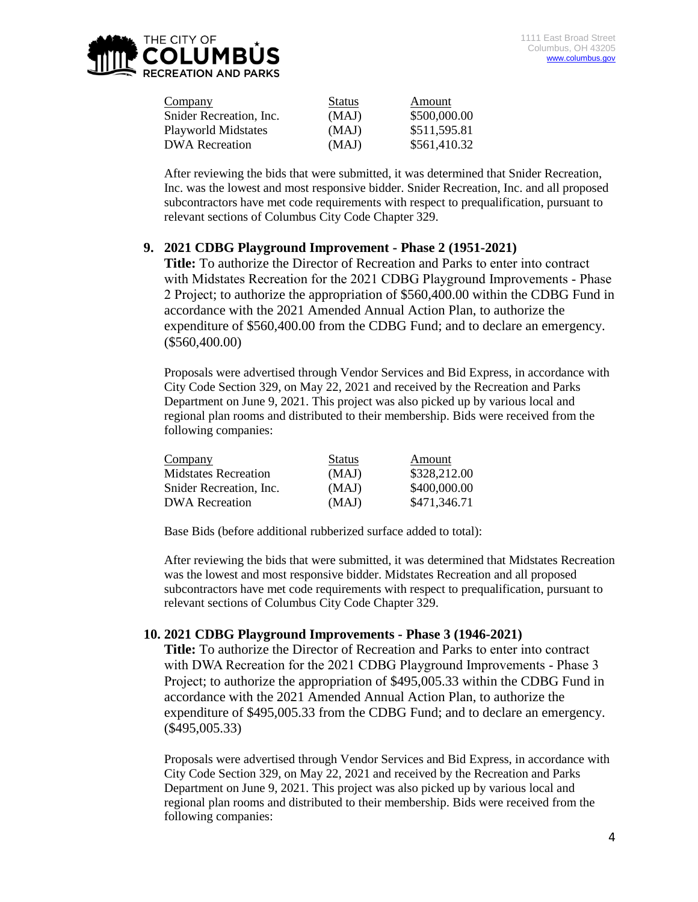

| Company                    | <b>Status</b> | Amount       |
|----------------------------|---------------|--------------|
| Snider Recreation, Inc.    | (MAJ)         | \$500,000.00 |
| <b>Playworld Midstates</b> | (MAJ)         | \$511,595.81 |
| <b>DWA</b> Recreation      | (MAJ)         | \$561,410.32 |

After reviewing the bids that were submitted, it was determined that Snider Recreation, Inc. was the lowest and most responsive bidder. Snider Recreation, Inc. and all proposed subcontractors have met code requirements with respect to prequalification, pursuant to relevant sections of Columbus City Code Chapter 329.

### **9. 2021 CDBG Playground Improvement - Phase 2 (1951-2021)**

**Title:** To authorize the Director of Recreation and Parks to enter into contract with Midstates Recreation for the 2021 CDBG Playground Improvements - Phase 2 Project; to authorize the appropriation of \$560,400.00 within the CDBG Fund in accordance with the 2021 Amended Annual Action Plan, to authorize the expenditure of \$560,400.00 from the CDBG Fund; and to declare an emergency. (\$560,400.00)

Proposals were advertised through Vendor Services and Bid Express, in accordance with City Code Section 329, on May 22, 2021 and received by the Recreation and Parks Department on June 9, 2021. This project was also picked up by various local and regional plan rooms and distributed to their membership. Bids were received from the following companies:

| <b>Company</b>              | <b>Status</b> | Amount       |
|-----------------------------|---------------|--------------|
| <b>Midstates Recreation</b> | (MAJ)         | \$328,212.00 |
| Snider Recreation, Inc.     | (MAJ)         | \$400,000.00 |
| <b>DWA</b> Recreation       | (MAJ)         | \$471,346.71 |

Base Bids (before additional rubberized surface added to total):

After reviewing the bids that were submitted, it was determined that Midstates Recreation was the lowest and most responsive bidder. Midstates Recreation and all proposed subcontractors have met code requirements with respect to prequalification, pursuant to relevant sections of Columbus City Code Chapter 329.

#### **10. 2021 CDBG Playground Improvements - Phase 3 (1946-2021)**

**Title:** To authorize the Director of Recreation and Parks to enter into contract with DWA Recreation for the 2021 CDBG Playground Improvements - Phase 3 Project; to authorize the appropriation of \$495,005.33 within the CDBG Fund in accordance with the 2021 Amended Annual Action Plan, to authorize the expenditure of \$495,005.33 from the CDBG Fund; and to declare an emergency. (\$495,005.33)

Proposals were advertised through Vendor Services and Bid Express, in accordance with City Code Section 329, on May 22, 2021 and received by the Recreation and Parks Department on June 9, 2021. This project was also picked up by various local and regional plan rooms and distributed to their membership. Bids were received from the following companies: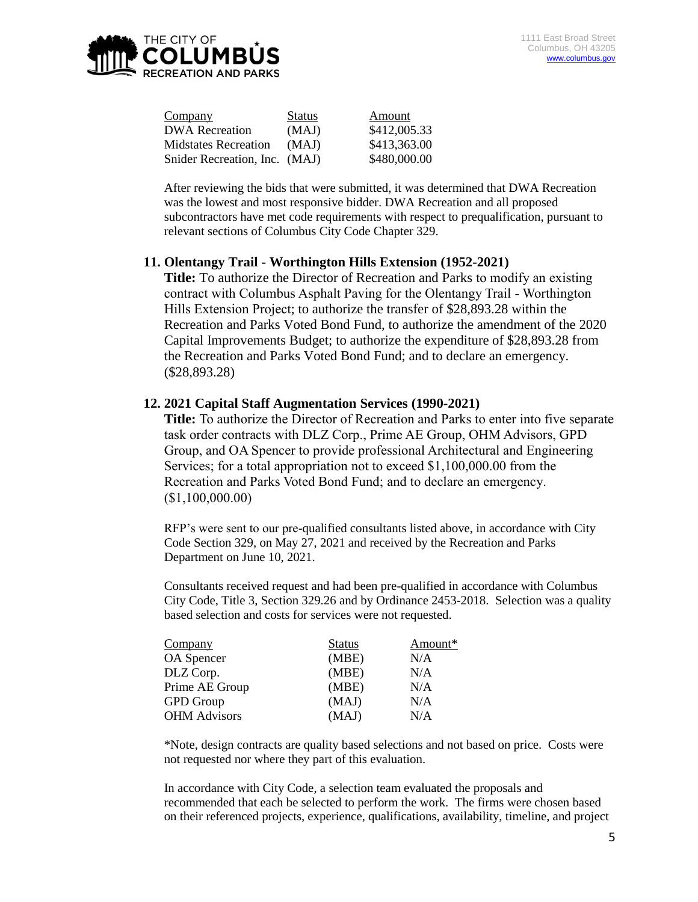

| Company                       | <b>Status</b> | Amount       |
|-------------------------------|---------------|--------------|
| <b>DWA</b> Recreation         | (MAJ)         | \$412,005.33 |
| <b>Midstates Recreation</b>   | (MAJ)         | \$413,363.00 |
| Snider Recreation, Inc. (MAJ) |               | \$480,000.00 |

After reviewing the bids that were submitted, it was determined that DWA Recreation was the lowest and most responsive bidder. DWA Recreation and all proposed subcontractors have met code requirements with respect to prequalification, pursuant to relevant sections of Columbus City Code Chapter 329.

#### **11. Olentangy Trail - Worthington Hills Extension (1952-2021)**

**Title:** To authorize the Director of Recreation and Parks to modify an existing contract with Columbus Asphalt Paving for the Olentangy Trail - Worthington Hills Extension Project; to authorize the transfer of \$28,893.28 within the Recreation and Parks Voted Bond Fund, to authorize the amendment of the 2020 Capital Improvements Budget; to authorize the expenditure of \$28,893.28 from the Recreation and Parks Voted Bond Fund; and to declare an emergency. (\$28,893.28)

### **12. 2021 Capital Staff Augmentation Services (1990-2021)**

**Title:** To authorize the Director of Recreation and Parks to enter into five separate task order contracts with DLZ Corp., Prime AE Group, OHM Advisors, GPD Group, and OA Spencer to provide professional Architectural and Engineering Services; for a total appropriation not to exceed \$1,100,000.00 from the Recreation and Parks Voted Bond Fund; and to declare an emergency. (\$1,100,000.00)

RFP's were sent to our pre-qualified consultants listed above, in accordance with City Code Section 329, on May 27, 2021 and received by the Recreation and Parks Department on June 10, 2021.

Consultants received request and had been pre-qualified in accordance with Columbus City Code, Title 3, Section 329.26 and by Ordinance 2453-2018. Selection was a quality based selection and costs for services were not requested.

| <b>Status</b> | Amount* |
|---------------|---------|
| (MBE)         | N/A     |
| (MBE)         | N/A     |
| (MBE)         | N/A     |
| (MAJ)         | N/A     |
| (MAJ)         | N/A     |
|               |         |

\*Note, design contracts are quality based selections and not based on price. Costs were not requested nor where they part of this evaluation.

In accordance with City Code, a selection team evaluated the proposals and recommended that each be selected to perform the work. The firms were chosen based on their referenced projects, experience, qualifications, availability, timeline, and project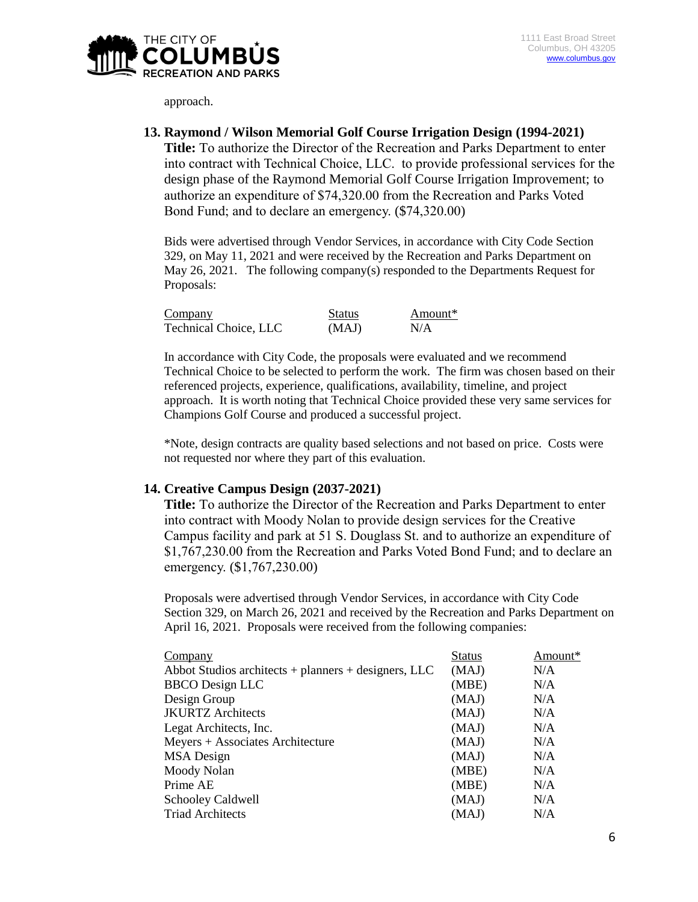

approach.

#### **13. Raymond / Wilson Memorial Golf Course Irrigation Design (1994-2021)**

**Title:** To authorize the Director of the Recreation and Parks Department to enter into contract with Technical Choice, LLC.to provide professional services for the design phase of the Raymond Memorial Golf Course Irrigation Improvement; to authorize an expenditure of \$74,320.00 from the Recreation and Parks Voted Bond Fund; and to declare an emergency. (\$74,320.00)

Bids were advertised through Vendor Services, in accordance with City Code Section 329, on May 11, 2021 and were received by the Recreation and Parks Department on May 26, 2021. The following company(s) responded to the Departments Request for Proposals:

| Company                      | Status | Amount* |
|------------------------------|--------|---------|
| <b>Technical Choice, LLC</b> | (MAJ)  | N/A     |

In accordance with City Code, the proposals were evaluated and we recommend Technical Choice to be selected to perform the work. The firm was chosen based on their referenced projects, experience, qualifications, availability, timeline, and project approach. It is worth noting that Technical Choice provided these very same services for Champions Golf Course and produced a successful project.

\*Note, design contracts are quality based selections and not based on price. Costs were not requested nor where they part of this evaluation.

#### **14. Creative Campus Design (2037-2021)**

**Title:** To authorize the Director of the Recreation and Parks Department to enter into contract with Moody Nolan to provide design services for the Creative Campus facility and park at 51 S. Douglass St. and to authorize an expenditure of \$1,767,230.00 from the Recreation and Parks Voted Bond Fund; and to declare an emergency. (\$1,767,230.00)

Proposals were advertised through Vendor Services, in accordance with City Code Section 329, on March 26, 2021 and received by the Recreation and Parks Department on April 16, 2021. Proposals were received from the following companies:

| Company                                                  | Status | Amount* |
|----------------------------------------------------------|--------|---------|
| Abbot Studios architects $+$ planners $+$ designers, LLC | (MAJ)  | N/A     |
| <b>BBCO</b> Design LLC                                   | (MBE)  | N/A     |
| Design Group                                             | (MAJ)  | N/A     |
| <b>JKURTZ</b> Architects                                 | (MAJ)  | N/A     |
| Legat Architects, Inc.                                   | (MAJ)  | N/A     |
| Meyers + Associates Architecture                         | (MAJ)  | N/A     |
| <b>MSA</b> Design                                        | (MAJ)  | N/A     |
| Moody Nolan                                              | (MBE)  | N/A     |
| Prime AE                                                 | (MBE)  | N/A     |
| <b>Schooley Caldwell</b>                                 | (MAJ)  | N/A     |
| <b>Triad Architects</b>                                  | (MAJ)  | N/A     |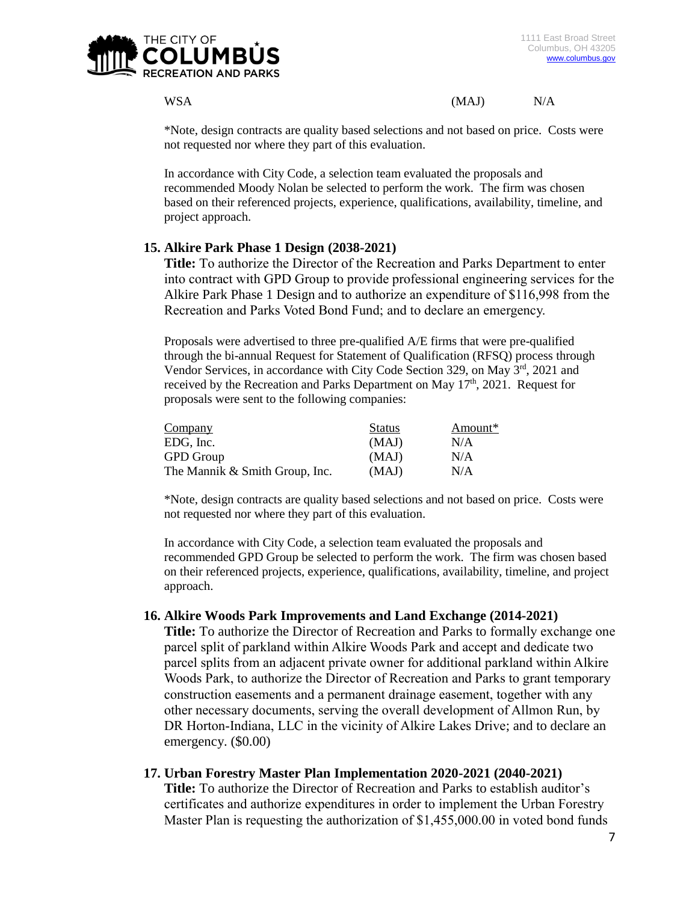

WSA (MAJ) N/A

\*Note, design contracts are quality based selections and not based on price. Costs were not requested nor where they part of this evaluation.

In accordance with City Code, a selection team evaluated the proposals and recommended Moody Nolan be selected to perform the work. The firm was chosen based on their referenced projects, experience, qualifications, availability, timeline, and project approach.

# **15. Alkire Park Phase 1 Design (2038-2021)**

**Title:** To authorize the Director of the Recreation and Parks Department to enter into contract with GPD Group to provide professional engineering services for the Alkire Park Phase 1 Design and to authorize an expenditure of \$116,998 from the Recreation and Parks Voted Bond Fund; and to declare an emergency.

Proposals were advertised to three pre-qualified A/E firms that were pre-qualified through the bi-annual Request for Statement of Qualification (RFSQ) process through Vendor Services, in accordance with City Code Section 329, on May 3rd, 2021 and received by the Recreation and Parks Department on May  $17<sup>th</sup>$ , 2021. Request for proposals were sent to the following companies:

| Company                        | <b>Status</b> | Amount* |
|--------------------------------|---------------|---------|
| EDG, Inc.                      | (MAJ)         | N/A     |
| <b>GPD</b> Group               | (MAJ)         | N/A     |
| The Mannik & Smith Group, Inc. | (MAJ)         | N/A     |

\*Note, design contracts are quality based selections and not based on price. Costs were not requested nor where they part of this evaluation.

In accordance with City Code, a selection team evaluated the proposals and recommended GPD Group be selected to perform the work. The firm was chosen based on their referenced projects, experience, qualifications, availability, timeline, and project approach.

# **16. Alkire Woods Park Improvements and Land Exchange (2014-2021)**

**Title:** To authorize the Director of Recreation and Parks to formally exchange one parcel split of parkland within Alkire Woods Park and accept and dedicate two parcel splits from an adjacent private owner for additional parkland within Alkire Woods Park, to authorize the Director of Recreation and Parks to grant temporary construction easements and a permanent drainage easement, together with any other necessary documents, serving the overall development of Allmon Run, by DR Horton-Indiana, LLC in the vicinity of Alkire Lakes Drive; and to declare an emergency. (\$0.00)

# **17. Urban Forestry Master Plan Implementation 2020-2021 (2040-2021)**

**Title:** To authorize the Director of Recreation and Parks to establish auditor's certificates and authorize expenditures in order to implement the Urban Forestry Master Plan is requesting the authorization of \$1,455,000.00 in voted bond funds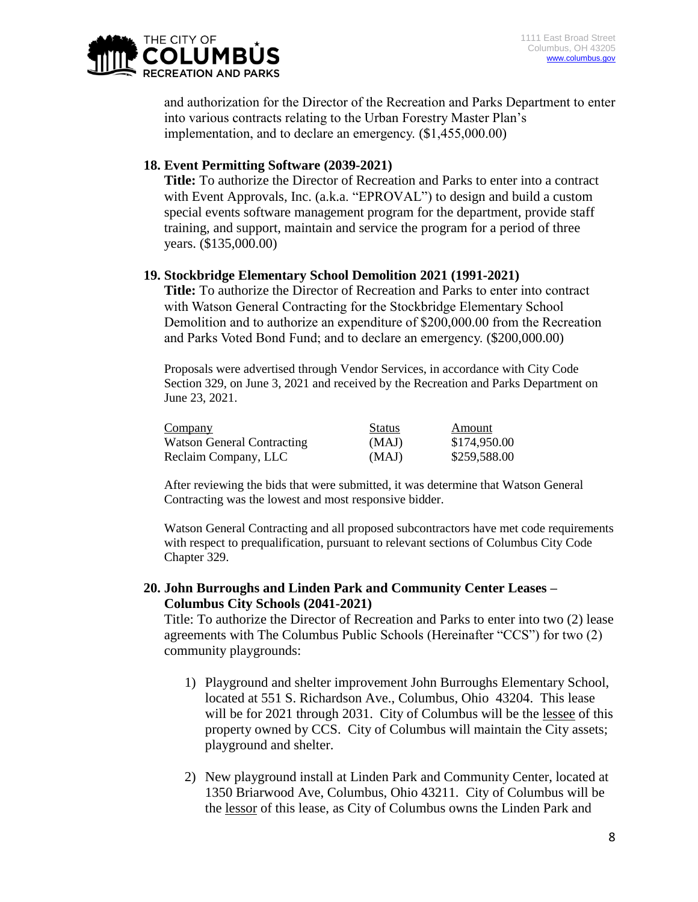

and authorization for the Director of the Recreation and Parks Department to enter into various contracts relating to the Urban Forestry Master Plan's implementation, and to declare an emergency. (\$1,455,000.00)

# **18. Event Permitting Software (2039-2021)**

**Title:** To authorize the Director of Recreation and Parks to enter into a contract with Event Approvals, Inc. (a.k.a. "EPROVAL") to design and build a custom special events software management program for the department, provide staff training, and support, maintain and service the program for a period of three years. (\$135,000.00)

# **19. Stockbridge Elementary School Demolition 2021 (1991-2021)**

**Title:** To authorize the Director of Recreation and Parks to enter into contract with Watson General Contracting for the Stockbridge Elementary School Demolition and to authorize an expenditure of \$200,000.00 from the Recreation and Parks Voted Bond Fund; and to declare an emergency. (\$200,000.00)

Proposals were advertised through Vendor Services, in accordance with City Code Section 329, on June 3, 2021 and received by the Recreation and Parks Department on June 23, 2021.

| Company                           | <b>Status</b> | Amount       |
|-----------------------------------|---------------|--------------|
| <b>Watson General Contracting</b> | (MAJ)         | \$174,950.00 |
| Reclaim Company, LLC              | (MAJ)         | \$259,588.00 |

After reviewing the bids that were submitted, it was determine that Watson General Contracting was the lowest and most responsive bidder.

Watson General Contracting and all proposed subcontractors have met code requirements with respect to prequalification, pursuant to relevant sections of Columbus City Code Chapter 329.

# **20. John Burroughs and Linden Park and Community Center Leases – Columbus City Schools (2041-2021)**

Title: To authorize the Director of Recreation and Parks to enter into two (2) lease agreements with The Columbus Public Schools (Hereinafter "CCS") for two (2) community playgrounds:

- 1) Playground and shelter improvement John Burroughs Elementary School, located at 551 S. Richardson Ave., Columbus, Ohio 43204. This lease will be for 2021 through 2031. City of Columbus will be the lessee of this property owned by CCS. City of Columbus will maintain the City assets; playground and shelter.
- 2) New playground install at Linden Park and Community Center, located at 1350 Briarwood Ave, Columbus, Ohio 43211. City of Columbus will be the lessor of this lease, as City of Columbus owns the Linden Park and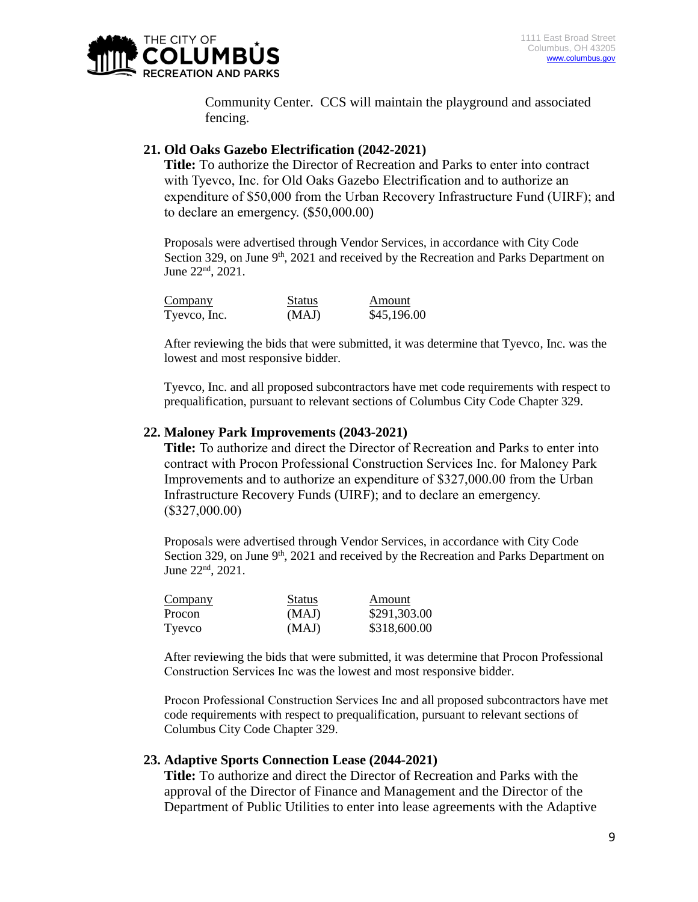

Community Center. CCS will maintain the playground and associated fencing.

# **21. Old Oaks Gazebo Electrification (2042-2021)**

**Title:** To authorize the Director of Recreation and Parks to enter into contract with Tyevco, Inc. for Old Oaks Gazebo Electrification and to authorize an expenditure of \$50,000 from the Urban Recovery Infrastructure Fund (UIRF); and to declare an emergency. (\$50,000.00)

Proposals were advertised through Vendor Services, in accordance with City Code Section 329, on June  $9<sup>th</sup>$ , 2021 and received by the Recreation and Parks Department on June 22nd, 2021.

| Company      | <b>Status</b> | Amount      |
|--------------|---------------|-------------|
| Tyevco, Inc. | (MAJ)         | \$45,196.00 |

After reviewing the bids that were submitted, it was determine that Tyevco, Inc. was the lowest and most responsive bidder.

Tyevco, Inc. and all proposed subcontractors have met code requirements with respect to prequalification, pursuant to relevant sections of Columbus City Code Chapter 329.

### **22. Maloney Park Improvements (2043-2021)**

**Title:** To authorize and direct the Director of Recreation and Parks to enter into contract with Procon Professional Construction Services Inc. for Maloney Park Improvements and to authorize an expenditure of \$327,000.00 from the Urban Infrastructure Recovery Funds (UIRF); and to declare an emergency. (\$327,000.00)

Proposals were advertised through Vendor Services, in accordance with City Code Section 329, on June  $9<sup>th</sup>$ , 2021 and received by the Recreation and Parks Department on June 22nd, 2021.

| Company | <b>Status</b> | Amount       |
|---------|---------------|--------------|
| Procon  | (MAJ)         | \$291,303.00 |
| Tyevco  | (MAJ)         | \$318,600.00 |

After reviewing the bids that were submitted, it was determine that Procon Professional Construction Services Inc was the lowest and most responsive bidder.

Procon Professional Construction Services Inc and all proposed subcontractors have met code requirements with respect to prequalification, pursuant to relevant sections of Columbus City Code Chapter 329.

# **23. Adaptive Sports Connection Lease (2044-2021)**

**Title:** To authorize and direct the Director of Recreation and Parks with the approval of the Director of Finance and Management and the Director of the Department of Public Utilities to enter into lease agreements with the Adaptive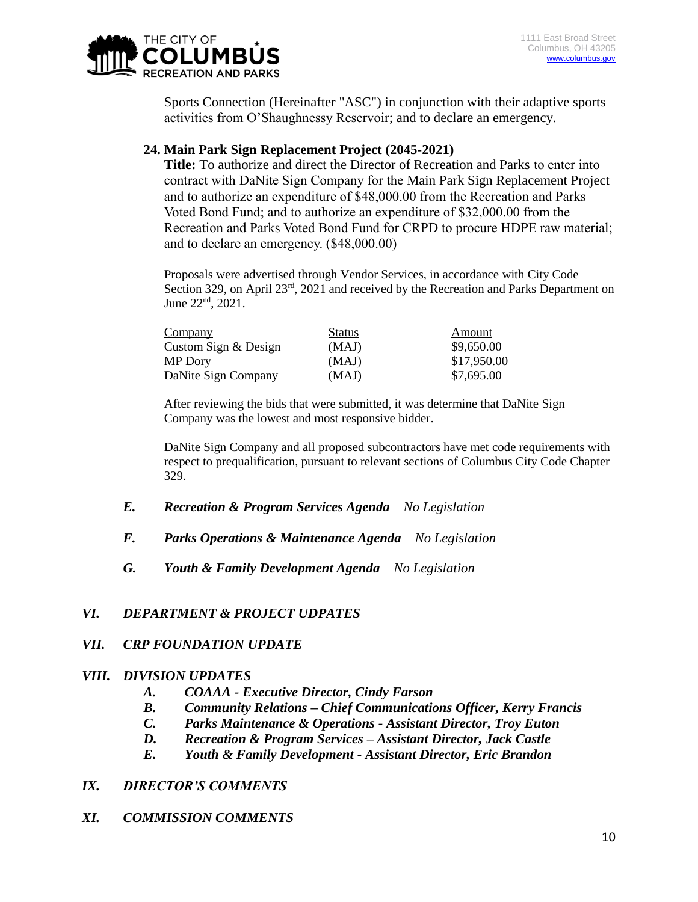

Sports Connection (Hereinafter "ASC") in conjunction with their adaptive sports activities from O'Shaughnessy Reservoir; and to declare an emergency.

# **24. Main Park Sign Replacement Project (2045-2021)**

**Title:** To authorize and direct the Director of Recreation and Parks to enter into contract with DaNite Sign Company for the Main Park Sign Replacement Project and to authorize an expenditure of \$48,000.00 from the Recreation and Parks Voted Bond Fund; and to authorize an expenditure of \$32,000.00 from the Recreation and Parks Voted Bond Fund for CRPD to procure HDPE raw material; and to declare an emergency. (\$48,000.00)

Proposals were advertised through Vendor Services, in accordance with City Code Section 329, on April 23<sup>rd</sup>, 2021 and received by the Recreation and Parks Department on June  $22^{\text{nd}}$ ,  $2021$ .

| Company              | <b>Status</b> | Amount      |
|----------------------|---------------|-------------|
| Custom Sign & Design | (MAJ)         | \$9,650.00  |
| MP Dory              | (MAJ)         | \$17,950.00 |
| DaNite Sign Company  | (MAJ)         | \$7,695.00  |

After reviewing the bids that were submitted, it was determine that DaNite Sign Company was the lowest and most responsive bidder.

DaNite Sign Company and all proposed subcontractors have met code requirements with respect to prequalification, pursuant to relevant sections of Columbus City Code Chapter 329.

- *E. Recreation & Program Services Agenda – No Legislation*
- *F. Parks Operations & Maintenance Agenda – No Legislation*
- *G. Youth & Family Development Agenda – No Legislation*

# *VI. DEPARTMENT & PROJECT UDPATES*

# *VII. CRP FOUNDATION UPDATE*

#### *VIII. DIVISION UPDATES*

- *A. COAAA - Executive Director, Cindy Farson*
- *B. Community Relations – Chief Communications Officer, Kerry Francis*
- *C. Parks Maintenance & Operations - Assistant Director, Troy Euton*
- *D. Recreation & Program Services – Assistant Director, Jack Castle*
- *E. Youth & Family Development - Assistant Director, Eric Brandon*

# *IX. DIRECTOR'S COMMENTS*

# *XI. COMMISSION COMMENTS*